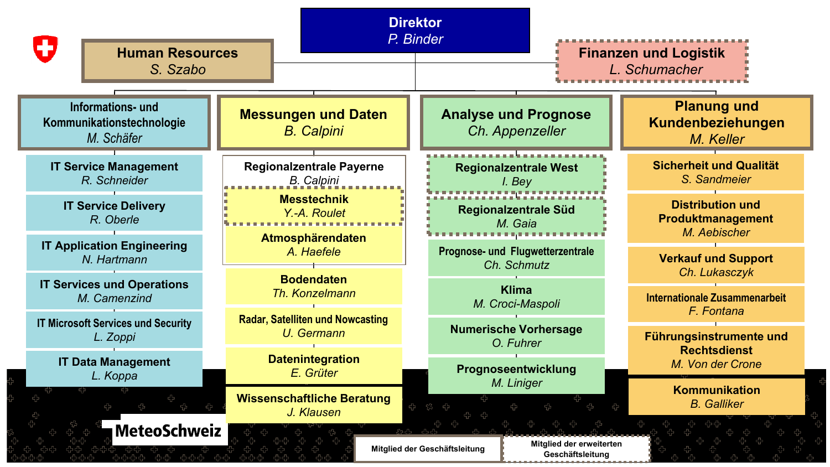| Œ<br><b>Human Resources</b><br>S. Szabo                      |                                                       | <b>Direktor</b><br>P. Binder                                                  | <b>Finanzen und Logistik</b><br>L. Schumacher                |
|--------------------------------------------------------------|-------------------------------------------------------|-------------------------------------------------------------------------------|--------------------------------------------------------------|
| Informations- und<br>Kommunikationstechnologie<br>M. Schäfer | <b>Messungen und Daten</b><br><b>B.</b> Calpini       | <b>Analyse und Prognose</b><br>Ch. Appenzeller                                | <b>Planung und</b><br>Kundenbeziehungen<br>M. Keller         |
| <b>IT Service Management</b><br>R. Schneider                 | Regionalzentrale Payerne<br><b>B.</b> Calpini         | <b>Regionalzentrale West</b><br>I. Bey                                        | <b>Sicherheit und Qualität</b><br>S. Sandmeier               |
| <b>IT Service Delivery</b><br>R. Oberle                      | <b>Messtechnik</b><br>Y.-A. Roulet                    | Regionalzentrale Süd<br>M. Gaia                                               | <b>Distribution und</b><br>Produktmanagement<br>M. Aebischer |
| <b>IT Application Engineering</b><br>N. Hartmann             | Atmosphärendaten<br>A. Haefele                        | Prognose- und Flugwetterzentrale<br>Ch. Schmutz                               | <b>Verkauf und Support</b><br>Ch. Lukasczyk                  |
| <b>IT Services und Operations</b><br>M. Camenzind            | <b>Bodendaten</b><br>Th. Konzelmann                   | <b>Klima</b><br>M. Croci-Maspoli                                              | <b>Internationale Zusammenarbeit</b><br>F. Fontana           |
| <b>IT Microsoft Services und Security</b><br>L. Zoppi        | <b>Radar, Satelliten und Nowcasting</b><br>U. Germann | <b>Numerische Vorhersage</b><br>O. Fuhrer                                     | Führungsinstrumente und<br><b>Rechtsdienst</b>               |
| <b>IT Data Management</b><br>L. Koppa                        | <b>Datenintegration</b><br>E. Grüter                  | Prognoseentwicklung                                                           | M. Von der Crone                                             |
|                                                              | <b>Wissenschaftliche Beratung</b><br>J. Klausen       | M. Liniger                                                                    | <b>Kommunikation</b><br><b>B.</b> Galliker                   |
| <b>MeteoSchweiz</b>                                          |                                                       | Mitglied der erweiterten<br>Mitglied der Geschäftsleitung<br>Geschäftsleitung |                                                              |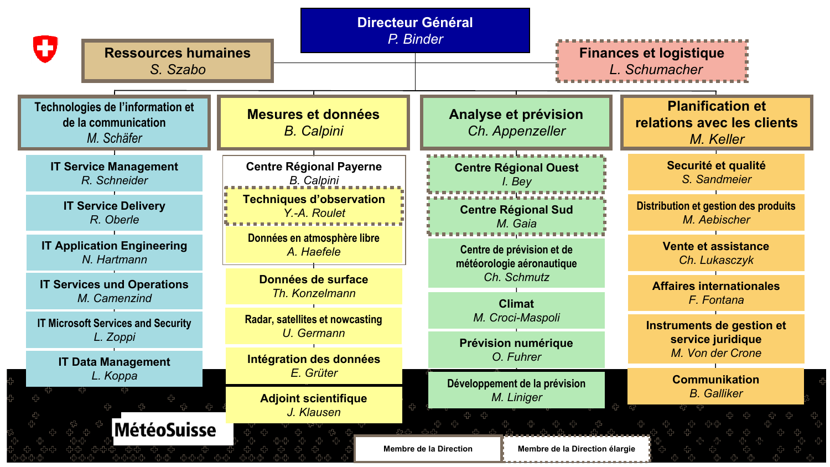| 43<br><b>Ressources humaines</b><br>S. Szabo                          |                                           | <b>Directeur Général</b><br>P. Binder                    | <b>Finances et logistique</b><br>L. Schumacher                     |
|-----------------------------------------------------------------------|-------------------------------------------|----------------------------------------------------------|--------------------------------------------------------------------|
| Technologies de l'information et<br>de la communication<br>M. Schäfer | Mesures et données<br><b>B.</b> Calpini   | Analyse et prévision<br>Ch. Appenzeller                  | <b>Planification et</b><br>relations avec les clients<br>M. Keller |
| <b>IT Service Management</b>                                          | <b>Centre Régional Payerne</b>            | <b>Centre Régional Ouest</b>                             | Securité et qualité                                                |
| R. Schneider                                                          | <b>B.</b> Calpini                         | I. Bey                                                   | S. Sandmeier                                                       |
| <b>IT Service Delivery</b>                                            | <b>Techniques d'observation</b>           | <b>Centre Régional Sud</b>                               | <b>Distribution et gestion des produits</b>                        |
| R. Oberle                                                             | Y.-A. Roulet                              | M. Gaia                                                  | M. Aebischer                                                       |
| <b>IT Application Engineering</b>                                     | Données en atmosphère libre               | Centre de prévision et de                                | Vente et assistance                                                |
| N. Hartmann                                                           | A. Haefele                                | météorologie aéronautique                                | Ch. Lukasczyk                                                      |
| <b>IT Services und Operations</b>                                     | Données de surface                        | Ch. Schmutz                                              | <b>Affaires internationales</b>                                    |
| M. Camenzind                                                          | Th. Konzelmann                            | <b>Climat</b>                                            | F. Fontana                                                         |
| <b>IT Microsoft Services and Security</b>                             | Radar, satellites et nowcasting           | M. Croci-Maspoli                                         | Instruments de gestion et                                          |
| L. Zoppi                                                              | U. Germann                                | Prévision numérique                                      | service juridique                                                  |
| <b>IT Data Management</b>                                             | Intégration des données                   | O. Fuhrer                                                | M. Von der Crone                                                   |
| L. Koppa                                                              | E. Grüter                                 | Développement de la prévision                            | <b>Communikation</b>                                               |
| <b>MétéoSuisse</b>                                                    | <b>Adjoint scientifique</b><br>J. Klausen | M. Liniger                                               | <b>B.</b> Galliker                                                 |
|                                                                       |                                           | Membre de la Direction élargie<br>Membre de la Direction |                                                                    |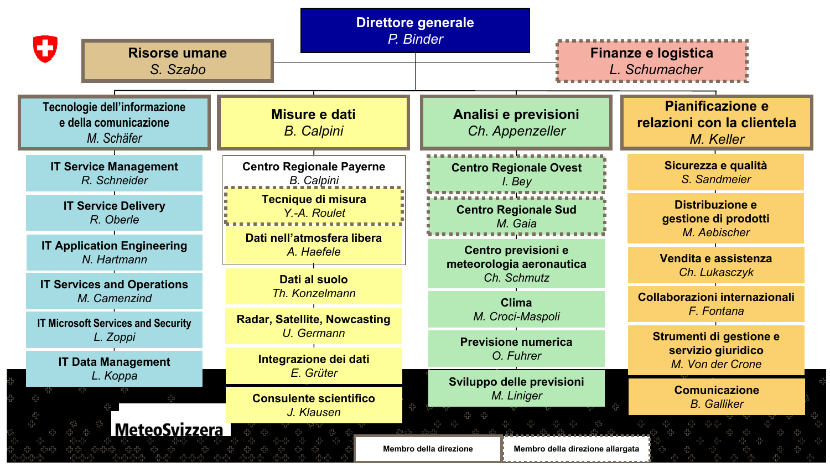| Œ<br><b>Risorse umane</b><br>S. Szabo                               |                                                           | <b>Direttore generale</b><br>P. Binder                         | <b>Finanze e logistica</b><br>L. Schumacher                 |
|---------------------------------------------------------------------|-----------------------------------------------------------|----------------------------------------------------------------|-------------------------------------------------------------|
| Tecnologie dell'informazione<br>e della comunicazione<br>M. Schäfer | Misure e dati<br><b>B.</b> Calpini                        | Analisi e previsioni<br>Ch. Appenzeller                        | Pianificazione e<br>relazioni con la clientela<br>M. Keller |
| <b>IT Service Management</b><br>R. Schneider                        | <b>Centro Regionale Payerne</b><br><b>B.</b> Calpini      | <b>Centro Regionale Ovest</b><br>I. Bey                        | Sicurezza e qualità<br>S. Sandmeier                         |
| <b>IT Service Delivery</b><br>R. Oberle                             | Tecnique di misura<br>Y.-A. Roulet                        | <b>Centro Regionale Sud</b><br>M. Gaia                         | Distribuzione e<br>gestione di prodotti<br>M. Aebischer     |
| <b>IT Application Engineering</b><br>N. Hartmann                    | Dati nell'atmosfera libera<br>A. Haefele<br>Dati al suolo | Centro previsioni e<br>meteorologia aeronautica<br>Ch. Schmutz | Vendita e assistenza<br>Ch. Lukasczyk                       |
| <b>IT Services and Operations</b><br>M. Camenzind                   | Th. Konzelmann<br><b>Radar, Satellite, Nowcasting</b>     | <b>Clima</b><br>M. Croci-Maspoli                               | Collaborazioni internazionali<br>F. Fontana                 |
| <b>IT Microsoft Services and Security</b><br>L. Zoppi               | U. Germann                                                | <b>Previsione numerica</b><br>O. Fuhrer                        | Strumenti di gestione e<br>servizio giuridico               |
| <b>IT Data Management</b><br>L. Koppa                               | Integrazione dei dati<br>E. Grüter                        | Sviluppo delle previsioni                                      | M. Von der Crone                                            |
|                                                                     | <b>Consulente scientifico</b><br>J. Klausen               | M. Liniger                                                     | <b>Comunicazione</b><br><b>B.</b> Galliker                  |
| <b>MeteoSvizzera</b>                                                |                                                           | Membro della direzione<br>Membro della direzione allargata     |                                                             |

alla s